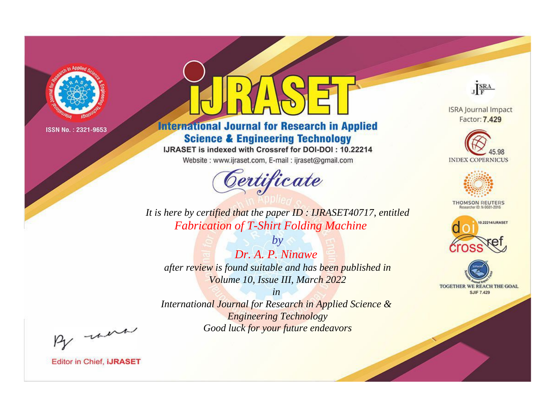

# **International Journal for Research in Applied Science & Engineering Technology**

IJRASET is indexed with Crossref for DOI-DOI: 10.22214

Website: www.ijraset.com, E-mail: ijraset@gmail.com



JERA

**ISRA Journal Impact** Factor: 7.429





**THOMSON REUTERS** 



TOGETHER WE REACH THE GOAL **SJIF 7.429** 

*It is here by certified that the paper ID : IJRASET40717, entitled Fabrication of T-Shirt Folding Machine*

*by Dr. A. P. Ninawe after review is found suitable and has been published in Volume 10, Issue III, March 2022*

*in* 

*International Journal for Research in Applied Science & Engineering Technology Good luck for your future endeavors*

By morn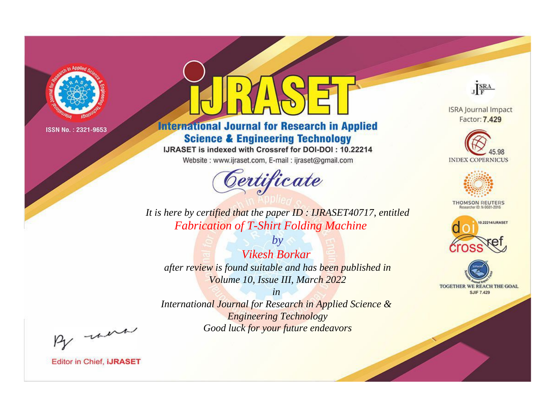

# **International Journal for Research in Applied Science & Engineering Technology**

IJRASET is indexed with Crossref for DOI-DOI: 10.22214

Website: www.ijraset.com, E-mail: ijraset@gmail.com



JERA

**ISRA Journal Impact** Factor: 7.429





**THOMSON REUTERS** 



TOGETHER WE REACH THE GOAL **SJIF 7.429** 

It is here by certified that the paper ID: IJRASET40717, entitled **Fabrication of T-Shirt Folding Machine** 

**Vikesh Borkar** after review is found suitable and has been published in Volume 10, Issue III, March 2022

 $b\nu$ 

 $in$ International Journal for Research in Applied Science & **Engineering Technology** Good luck for your future endeavors

By morn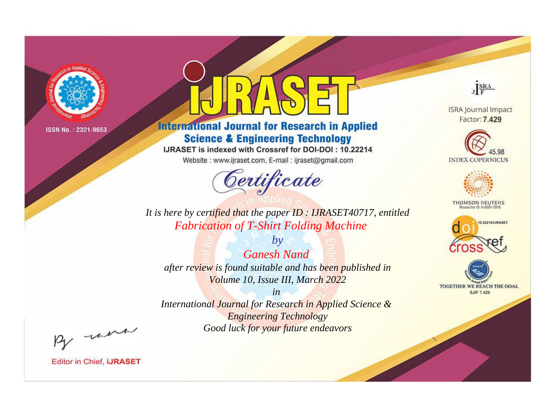

# **International Journal for Research in Applied Science & Engineering Technology**

IJRASET is indexed with Crossref for DOI-DOI: 10.22214

Website: www.ijraset.com, E-mail: ijraset@gmail.com



JERA

**ISRA Journal Impact** Factor: 7.429





**THOMSON REUTERS** 



TOGETHER WE REACH THE GOAL **SJIF 7.429** 

It is here by certified that the paper ID: IJRASET40717, entitled **Fabrication of T-Shirt Folding Machine** 

**Ganesh Nand** after review is found suitable and has been published in Volume 10, Issue III, March 2022

 $by$ 

 $in$ International Journal for Research in Applied Science & **Engineering Technology** Good luck for your future endeavors

By morn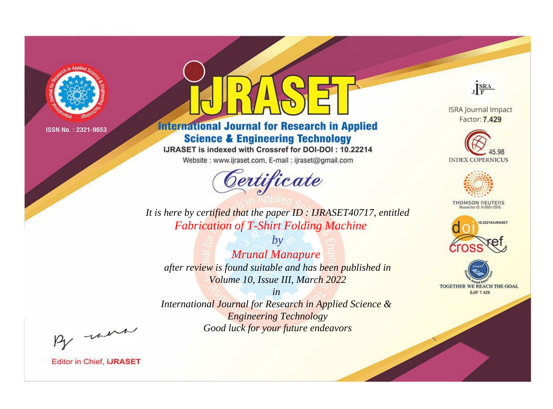

# **International Journal for Research in Applied Science & Engineering Technology**

IJRASET is indexed with Crossref for DOI-DOI: 10.22214

Website: www.ijraset.com, E-mail: ijraset@gmail.com



JERA

**ISRA Journal Impact** Factor: 7.429





**THOMSON REUTERS** 



TOGETHER WE REACH THE GOAL **SJIF 7.429** 

*It is here by certified that the paper ID : IJRASET40717, entitled Fabrication of T-Shirt Folding Machine*

*Mrunal Manapure after review is found suitable and has been published in Volume 10, Issue III, March 2022*

*by*

*in* 

*International Journal for Research in Applied Science & Engineering Technology Good luck for your future endeavors*

By morn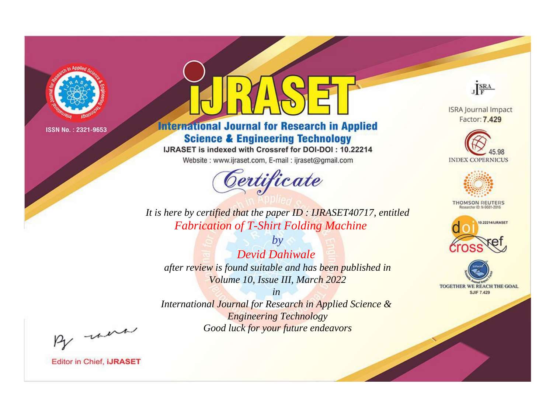

# **International Journal for Research in Applied Science & Engineering Technology**

IJRASET is indexed with Crossref for DOI-DOI: 10.22214

Website: www.ijraset.com, E-mail: ijraset@gmail.com



JERA

**ISRA Journal Impact** Factor: 7.429





**THOMSON REUTERS** 



TOGETHER WE REACH THE GOAL **SJIF 7.429** 

*It is here by certified that the paper ID : IJRASET40717, entitled Fabrication of T-Shirt Folding Machine*

*Devid Dahiwale after review is found suitable and has been published in Volume 10, Issue III, March 2022*

*by*

*in* 

*International Journal for Research in Applied Science & Engineering Technology Good luck for your future endeavors*

By morn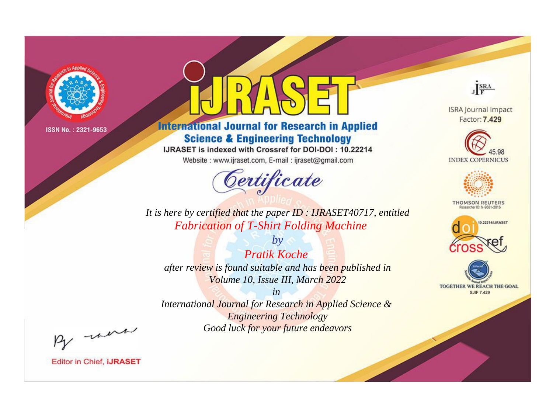

# **International Journal for Research in Applied Science & Engineering Technology**

IJRASET is indexed with Crossref for DOI-DOI: 10.22214

Website: www.ijraset.com, E-mail: ijraset@gmail.com



JERA

**ISRA Journal Impact** Factor: 7.429





**THOMSON REUTERS** 



TOGETHER WE REACH THE GOAL **SJIF 7.429** 

*It is here by certified that the paper ID : IJRASET40717, entitled Fabrication of T-Shirt Folding Machine*

*Pratik Koche after review is found suitable and has been published in Volume 10, Issue III, March 2022*

*by*

*in* 

*International Journal for Research in Applied Science & Engineering Technology Good luck for your future endeavors*

By morn